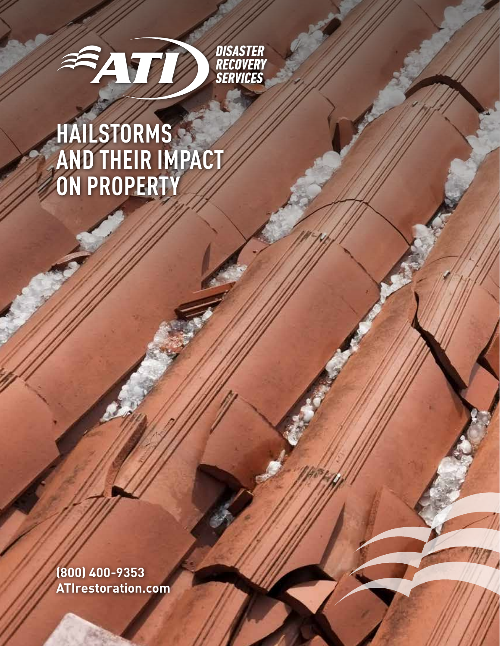

# **HAILSTORMS AND THEIR IMPACT ON PROPERTY**

**(800) 400-9353 ATIrestoration.com**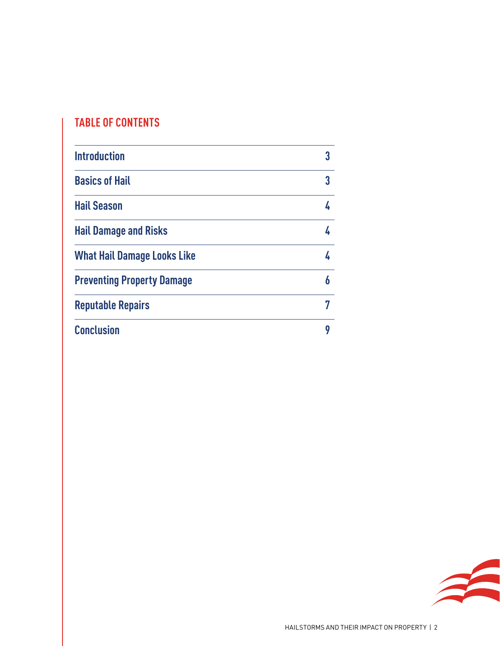### **TABLE OF CONTENTS**

| <b>Introduction</b>                |   |
|------------------------------------|---|
| <b>Basics of Hail</b>              | 3 |
| <b>Hail Season</b>                 |   |
| <b>Hail Damage and Risks</b>       |   |
| <b>What Hail Damage Looks Like</b> |   |
| <b>Preventing Property Damage</b>  | 6 |
| <b>Reputable Repairs</b>           |   |
| <b>Conclusion</b>                  | g |

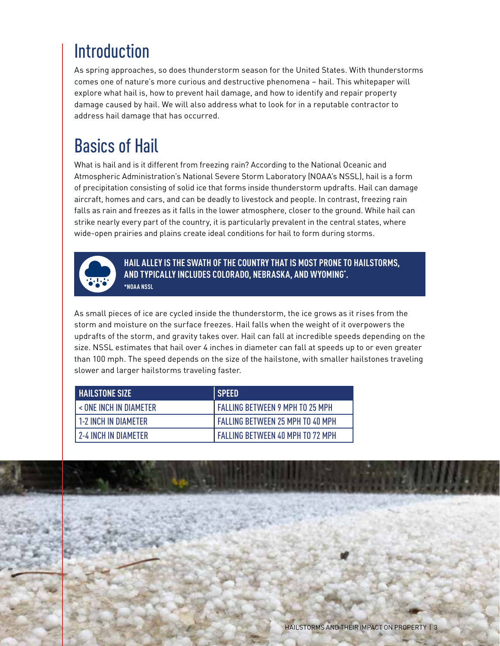### Introduction

As spring approaches, so does thunderstorm season for the United States. With thunderstorms comes one of nature's more curious and destructive phenomena – hail. This whitepaper will explore what hail is, how to prevent hail damage, and how to identify and repair property damage caused by hail. We will also address what to look for in a reputable contractor to address hail damage that has occurred.

# Basics of Hail

What is hail and is it different from freezing rain? According to the National Oceanic and Atmospheric Administration's National Severe Storm Laboratory (NOAA's NSSL), hail is a form of precipitation consisting of solid ice that forms inside thunderstorm updrafts. Hail can damage aircraft, homes and cars, and can be deadly to livestock and people. In contrast, freezing rain falls as rain and freezes as it falls in the lower atmosphere, closer to the ground. While hail can strike nearly every part of the country, it is particularly prevalent in the central states, where wide-open prairies and plains create ideal conditions for hail to form during storms.



**HAIL ALLEY IS THE SWATH OF THE COUNTRY THAT IS MOST PRONE TO HAILSTORMS, AND TYPICALLY INCLUDES COLORADO, NEBRASKA, AND WYOMING\* . \*NOAA NSSL**

As small pieces of ice are cycled inside the thunderstorm, the ice grows as it rises from the storm and moisture on the surface freezes. Hail falls when the weight of it overpowers the updrafts of the storm, and gravity takes over. Hail can fall at incredible speeds depending on the size. NSSL estimates that hail over 4 inches in diameter can fall at speeds up to or even greater than 100 mph. The speed depends on the size of the hailstone, with smaller hailstones traveling slower and larger hailstorms traveling faster.

| <b>HAILSTONE SIZE</b>       | I SPEED                                 |
|-----------------------------|-----------------------------------------|
| < ONE INCH IN DIAMETER      | <b>FALLING BETWEEN 9 MPH TO 25 MPH</b>  |
| <b>1-2 INCH IN DIAMETER</b> | I FALLING BETWEEN 25 MPH TO 40 MPH      |
| <b>2-4 INCH IN DIAMETER</b> | <b>FALLING BETWEEN 40 MPH TO 72 MPH</b> |

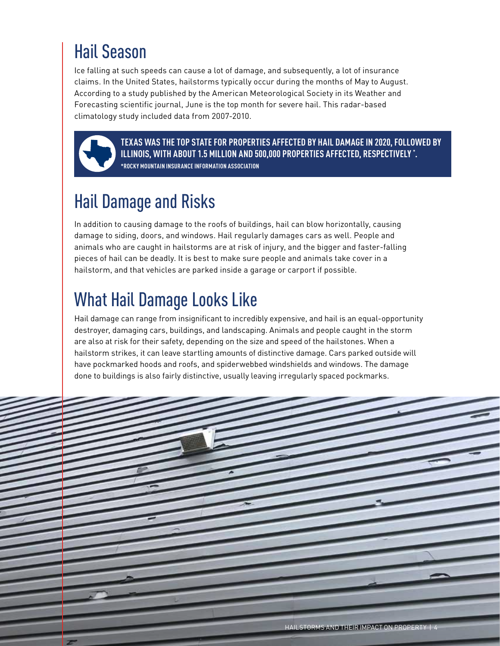# Hail Season

Ice falling at such speeds can cause a lot of damage, and subsequently, a lot of insurance claims. In the United States, hailstorms typically occur during the months of May to August. According to a study published by the American Meteorological Society in its Weather and Forecasting scientific journal, June is the top month for severe hail. This radar-based climatology study included data from 2007-2010.



**TEXAS WAS THE TOP STATE FOR PROPERTIES AFFECTED BY HAIL DAMAGE IN 2020, FOLLOWED BY ILLINOIS, WITH ABOUT 1.5 MILLION AND 500,000 PROPERTIES AFFECTED, RESPECTIVELY \* . \*ROCKY MOUNTAIN INSURANCE INFORMATION ASSOCIATION**

# Hail Damage and Risks

In addition to causing damage to the roofs of buildings, hail can blow horizontally, causing damage to siding, doors, and windows. Hail regularly damages cars as well. People and animals who are caught in hailstorms are at risk of injury, and the bigger and faster-falling pieces of hail can be deadly. It is best to make sure people and animals take cover in a hailstorm, and that vehicles are parked inside a garage or carport if possible.

### What Hail Damage Looks Like

Hail damage can range from insignificant to incredibly expensive, and hail is an equal-opportunity destroyer, damaging cars, buildings, and landscaping. Animals and people caught in the storm are also at risk for their safety, depending on the size and speed of the hailstones. When a hailstorm strikes, it can leave startling amounts of distinctive damage. Cars parked outside will have pockmarked hoods and roofs, and spiderwebbed windshields and windows. The damage done to buildings is also fairly distinctive, usually leaving irregularly spaced pockmarks.

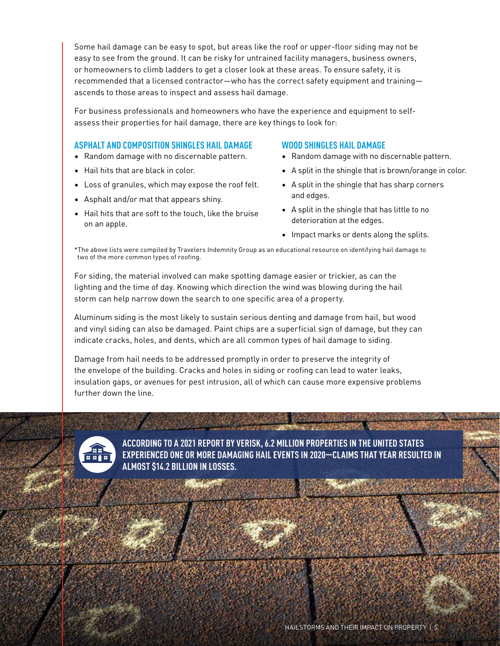Some hail damage can be easy to spot, but areas like the roof or upper-floor siding may not be easy to see from the ground. It can be risky for untrained facility managers, business owners, or homeowners to climb ladders to get a closer look at these areas. To ensure safety, it is recommended that a licensed contractor—who has the correct safety equipment and training ascends to those areas to inspect and assess hail damage.

For business professionals and homeowners who have the experience and equipment to selfassess their properties for hail damage, there are key things to look for:

#### **ASPHALT AND COMPOSITION SHINGLES HAIL DAMAGE**

- Random damage with no discernable pattern.
- Hail hits that are black in color.
- Loss of granules, which may expose the roof felt.
- Asphalt and/or mat that appears shiny.
- Hail hits that are soft to the touch, like the bruise on an apple.

#### **WOOD SHINGLES HAIL DAMAGE**

**Residence of South Ave** 

- Random damage with no discernable pattern.
- A split in the shingle that is brown/orange in color.
- A split in the shingle that has sharp corners and edges.
- A split in the shingle that has little to no deterioration at the edges.
- Impact marks or dents along the splits.

\*The above lists were compiled by Travelers Indemnity Group as an educational resource on identifying hail damage to two of the more common types of roofing.

For siding, the material involved can make spotting damage easier or trickier, as can the lighting and the time of day. Knowing which direction the wind was blowing during the hail storm can help narrow down the search to one specific area of a property.

Aluminum siding is the most likely to sustain serious denting and damage from hail, but wood and vinyl siding can also be damaged. Paint chips are a superficial sign of damage, but they can indicate cracks, holes, and dents, which are all common types of hail damage to siding.

Damage from hail needs to be addressed promptly in order to preserve the integrity of the envelope of the building. Cracks and holes in siding or roofing can lead to water leaks, insulation gaps, or avenues for pest intrusion, all of which can cause more expensive problems further down the line.



**ACCORDING TO A 2021 REPORT BY VERISK, 6.2 MILLION PROPERTIES IN THE UNITED STATES EXPERIENCED ONE OR MORE DAMAGING HAIL EVENTS IN 2020—CLAIMS THAT YEAR RESULTED IN ALMOST \$14.2 BILLION IN LOSSES.**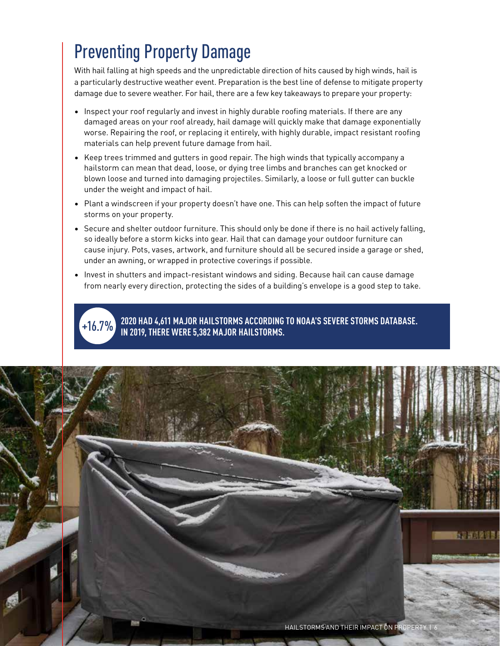### Preventing Property Damage

With hail falling at high speeds and the unpredictable direction of hits caused by high winds, hail is a particularly destructive weather event. Preparation is the best line of defense to mitigate property damage due to severe weather. For hail, there are a few key takeaways to prepare your property:

- Inspect your roof regularly and invest in highly durable roofing materials. If there are any damaged areas on your roof already, hail damage will quickly make that damage exponentially worse. Repairing the roof, or replacing it entirely, with highly durable, impact resistant roofing materials can help prevent future damage from hail.
- Keep trees trimmed and gutters in good repair. The high winds that typically accompany a hailstorm can mean that dead, loose, or dying tree limbs and branches can get knocked or blown loose and turned into damaging projectiles. Similarly, a loose or full gutter can buckle under the weight and impact of hail.
- Plant a windscreen if your property doesn't have one. This can help soften the impact of future storms on your property.
- Secure and shelter outdoor furniture. This should only be done if there is no hail actively falling, so ideally before a storm kicks into gear. Hail that can damage your outdoor furniture can cause injury. Pots, vases, artwork, and furniture should all be secured inside a garage or shed, under an awning, or wrapped in protective coverings if possible.
- Invest in shutters and impact-resistant windows and siding. Because hail can cause damage from nearly every direction, protecting the sides of a building's envelope is a good step to take.



**2020 HAD 4,611 MAJOR HAILSTORMS ACCORDING TO NOAA'S SEVERE STORMS DATABASE. IN 2019, THERE WERE 5,382 MAJOR HAILSTORMS.**

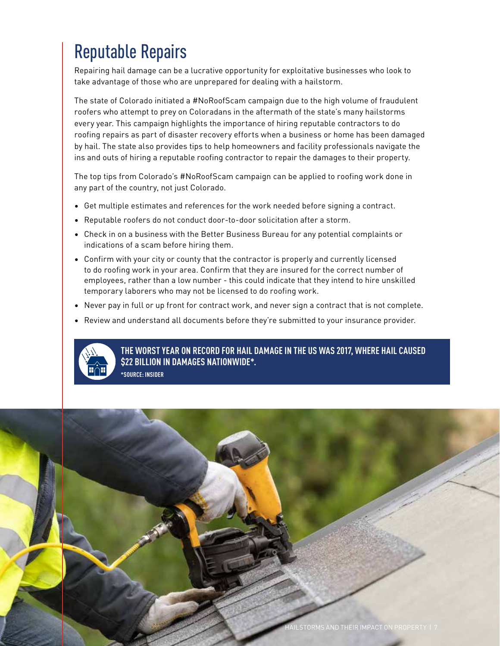## Reputable Repairs

Repairing hail damage can be a lucrative opportunity for exploitative businesses who look to take advantage of those who are unprepared for dealing with a hailstorm.

The state of Colorado initiated a #NoRoofScam campaign due to the high volume of fraudulent roofers who attempt to prey on Coloradans in the aftermath of the state's many hailstorms every year. This campaign highlights the importance of hiring reputable contractors to do roofing repairs as part of disaster recovery efforts when a business or home has been damaged by hail. The state also provides tips to help homeowners and facility professionals navigate the ins and outs of hiring a reputable roofing contractor to repair the damages to their property.

The top tips from Colorado's #NoRoofScam campaign can be applied to roofing work done in any part of the country, not just Colorado.

- Get multiple estimates and references for the work needed before signing a contract.
- Reputable roofers do not conduct door-to-door solicitation after a storm.
- Check in on a business with the Better Business Bureau for any potential complaints or indications of a scam before hiring them.
- Confirm with your city or county that the contractor is properly and currently licensed to do roofing work in your area. Confirm that they are insured for the correct number of employees, rather than a low number - this could indicate that they intend to hire unskilled temporary laborers who may not be licensed to do roofing work.
- Never pay in full or up front for contract work, and never sign a contract that is not complete.
- Review and understand all documents before they're submitted to your insurance provider.



**THE WORST YEAR ON RECORD FOR HAIL DAMAGE IN THE US WAS 2017, WHERE HAIL CAUSED \$22 BILLION IN DAMAGES NATIONWIDE\*.** 

**\*SOURCE: INSIDER**

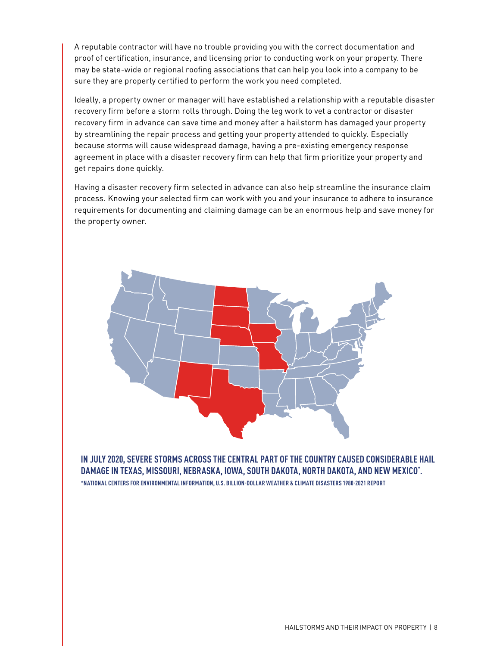A reputable contractor will have no trouble providing you with the correct documentation and proof of certification, insurance, and licensing prior to conducting work on your property. There may be state-wide or regional roofing associations that can help you look into a company to be sure they are properly certified to perform the work you need completed.

Ideally, a property owner or manager will have established a relationship with a reputable disaster recovery firm before a storm rolls through. Doing the leg work to vet a contractor or disaster recovery firm in advance can save time and money after a hailstorm has damaged your property by streamlining the repair process and getting your property attended to quickly. Especially because storms will cause widespread damage, having a pre-existing emergency response agreement in place with a disaster recovery firm can help that firm prioritize your property and get repairs done quickly.

Having a disaster recovery firm selected in advance can also help streamline the insurance claim process. Knowing your selected firm can work with you and your insurance to adhere to insurance requirements for documenting and claiming damage can be an enormous help and save money for the property owner.



**IN JULY 2020, SEVERE STORMS ACROSS THE CENTRAL PART OF THE COUNTRY CAUSED CONSIDERABLE HAIL DAMAGE IN TEXAS, MISSOURI, NEBRASKA, IOWA, SOUTH DAKOTA, NORTH DAKOTA, AND NEW MEXICO\* . \*NATIONAL CENTERS FOR ENVIRONMENTAL INFORMATION, U.S. BILLION-DOLLAR WEATHER & CLIMATE DISASTERS 1980-2021 REPORT**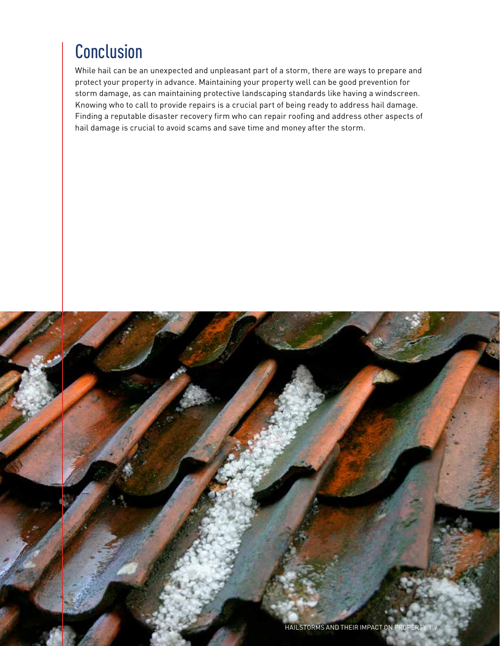### **Conclusion**

While hail can be an unexpected and unpleasant part of a storm, there are ways to prepare and protect your property in advance. Maintaining your property well can be good prevention for storm damage, as can maintaining protective landscaping standards like having a windscreen. Knowing who to call to provide repairs is a crucial part of being ready to address hail damage. Finding a reputable disaster recovery firm who can repair roofing and address other aspects of hail damage is crucial to avoid scams and save time and money after the storm.